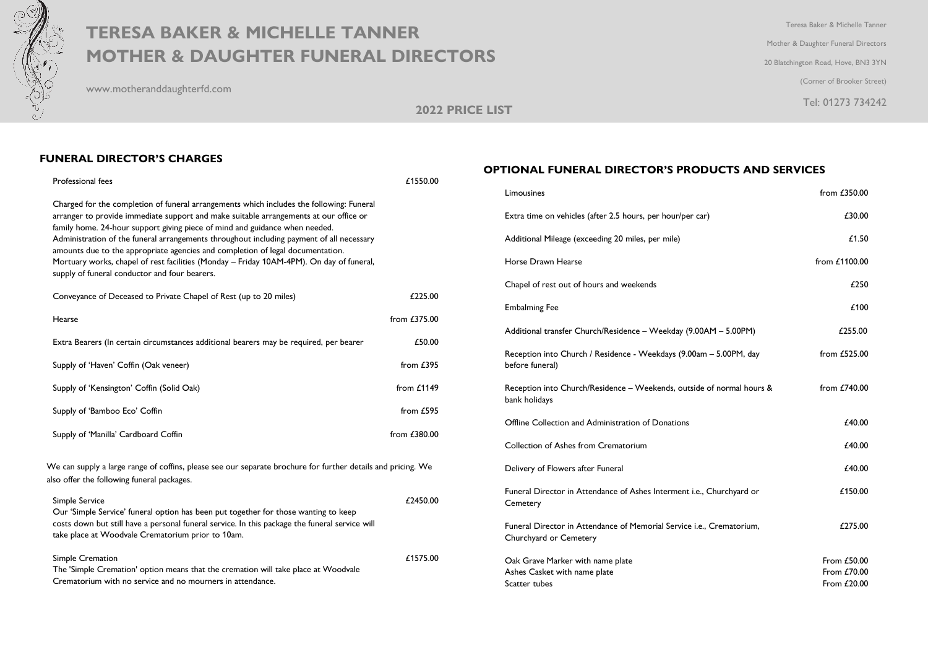

## **TERESA BAKER & MICHELLE TANNER** Terresa Baker & Michelle Tanner **MOTHER & DAUGHTER FUNERAL DIRECTORS**

www.motheranddaughterfd.com

Mother & Daughter Funeral Directors 20 Blatchington Road, Hove, BN3 3YN (Corner of Brooker Street) Tel: 01273 734242

**2022 PRICE LIST**

## **FUNERAL DIRECTOR'S CHARGES**

| Professional fees                                                                                                                                                                                                                                                                                                                                                                                                                                                                                                                                                                           | £1550.00       |  |
|---------------------------------------------------------------------------------------------------------------------------------------------------------------------------------------------------------------------------------------------------------------------------------------------------------------------------------------------------------------------------------------------------------------------------------------------------------------------------------------------------------------------------------------------------------------------------------------------|----------------|--|
| Charged for the completion of funeral arrangements which includes the following: Funeral<br>arranger to provide immediate support and make suitable arrangements at our office or<br>family home. 24-hour support giving piece of mind and guidance when needed.<br>Administration of the funeral arrangements throughout including payment of all necessary<br>amounts due to the appropriate agencies and completion of legal documentation.<br>Mortuary works, chapel of rest facilities (Monday - Friday 10AM-4PM). On day of funeral,<br>supply of funeral conductor and four bearers. |                |  |
| Conveyance of Deceased to Private Chapel of Rest (up to 20 miles)                                                                                                                                                                                                                                                                                                                                                                                                                                                                                                                           | £225.00        |  |
| Hearse                                                                                                                                                                                                                                                                                                                                                                                                                                                                                                                                                                                      | from $£375.00$ |  |
| Extra Bearers (In certain circumstances additional bearers may be required, per bearer                                                                                                                                                                                                                                                                                                                                                                                                                                                                                                      | £50.00         |  |
| Supply of 'Haven' Coffin (Oak veneer)                                                                                                                                                                                                                                                                                                                                                                                                                                                                                                                                                       | from $£395$    |  |
| Supply of 'Kensington' Coffin (Solid Oak)                                                                                                                                                                                                                                                                                                                                                                                                                                                                                                                                                   | from $£1149$   |  |
| Supply of 'Bamboo Eco' Coffin                                                                                                                                                                                                                                                                                                                                                                                                                                                                                                                                                               | from £595      |  |
| Supply of 'Manilla' Cardboard Coffin                                                                                                                                                                                                                                                                                                                                                                                                                                                                                                                                                        | from £380.00   |  |
| We can supply a large range of coffins, please see our separate brochure for further details and pricing. We<br>also offer the following funeral packages.                                                                                                                                                                                                                                                                                                                                                                                                                                  |                |  |
| Simple Service<br>Our 'Simple Service' funeral option has been put together for those wanting to keep<br>costs down but still have a personal funeral service. In this package the funeral service will<br>take place at Woodvale Crematorium prior to 10am.                                                                                                                                                                                                                                                                                                                                | £2450.00       |  |
| Simple Cremation<br>The 'Simple Cremation' option means that the cremation will take place at Woodvale<br>Crematorium with no service and no mourners in attendance.                                                                                                                                                                                                                                                                                                                                                                                                                        | £1575.00       |  |

## **OPTIONAL FUNERAL DIRECTOR'S PRODUCTS AND SERVICES**

| Limousines                                                                                      | from $£350.00$                            |
|-------------------------------------------------------------------------------------------------|-------------------------------------------|
| Extra time on vehicles (after 2.5 hours, per hour/per car)                                      | £30.00                                    |
| Additional Mileage (exceeding 20 miles, per mile)                                               | £1.50                                     |
| Horse Drawn Hearse                                                                              | from £1100.00                             |
| Chapel of rest out of hours and weekends                                                        | £250                                      |
| <b>Embalming Fee</b>                                                                            | £100                                      |
| Additional transfer Church/Residence - Weekday (9.00AM - 5.00PM)                                | £255.00                                   |
| Reception into Church / Residence - Weekdays (9.00am - 5.00PM, day<br>before funeral)           | from $£525.00$                            |
| Reception into Church/Residence - Weekends, outside of normal hours &<br>bank holidays          | from £740.00                              |
| Offline Collection and Administration of Donations                                              | £40.00                                    |
| Collection of Ashes from Crematorium                                                            | £40.00                                    |
| Delivery of Flowers after Funeral                                                               | £40.00                                    |
| Funeral Director in Attendance of Ashes Interment i.e., Churchyard or<br>Cemetery               | £150.00                                   |
| Funeral Director in Attendance of Memorial Service i.e., Crematorium,<br>Churchyard or Cemetery | £275.00                                   |
| Oak Grave Marker with name plate<br>Ashes Casket with name plate<br>Scatter tubes               | From £50.00<br>From £70.00<br>From £20.00 |